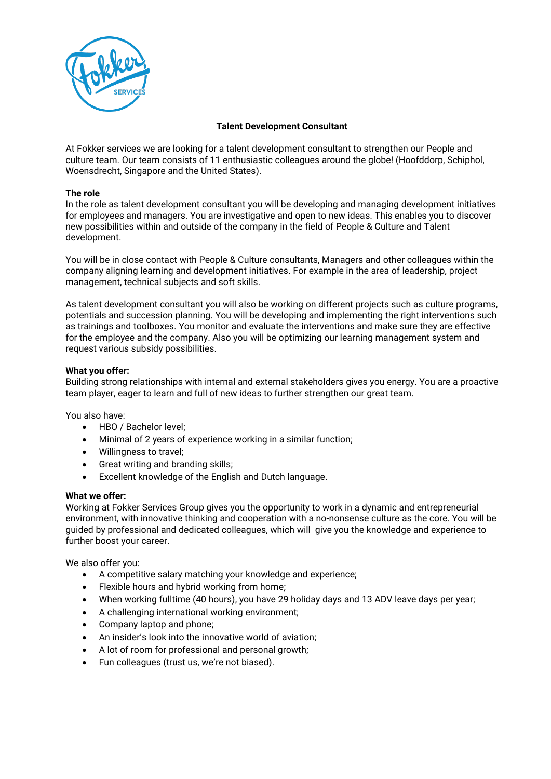

# **Talent Development Consultant**

At Fokker services we are looking for a talent development consultant to strengthen our People and culture team. Our team consists of 11 enthusiastic colleagues around the globe! (Hoofddorp, Schiphol, Woensdrecht, Singapore and the United States).

# **The role**

In the role as talent development consultant you will be developing and managing development initiatives for employees and managers. You are investigative and open to new ideas. This enables you to discover new possibilities within and outside of the company in the field of People & Culture and Talent development.

You will be in close contact with People & Culture consultants, Managers and other colleagues within the company aligning learning and development initiatives. For example in the area of leadership, project management, technical subjects and soft skills.

As talent development consultant you will also be working on different projects such as culture programs, potentials and succession planning. You will be developing and implementing the right interventions such as trainings and toolboxes. You monitor and evaluate the interventions and make sure they are effective for the employee and the company. Also you will be optimizing our learning management system and request various subsidy possibilities.

# **What you offer:**

Building strong relationships with internal and external stakeholders gives you energy. You are a proactive team player, eager to learn and full of new ideas to further strengthen our great team.

You also have:

- HBO / Bachelor level;
- Minimal of 2 years of experience working in a similar function;
- Willingness to travel;
- Great writing and branding skills;
- Excellent knowledge of the English and Dutch language.

### **What we offer:**

Working at Fokker Services Group gives you the opportunity to work in a dynamic and entrepreneurial environment, with innovative thinking and cooperation with a no-nonsense culture as the core. You will be guided by professional and dedicated colleagues, which will give you the knowledge and experience to further boost your career.

We also offer you:

- A competitive salary matching your knowledge and experience;
- Flexible hours and hybrid working from home;
- When working fulltime (40 hours), you have 29 holiday days and 13 ADV leave days per year;
- A challenging international working environment;
- Company laptop and phone;
- An insider's look into the innovative world of aviation;
- A lot of room for professional and personal growth;
- Fun colleagues (trust us, we're not biased).